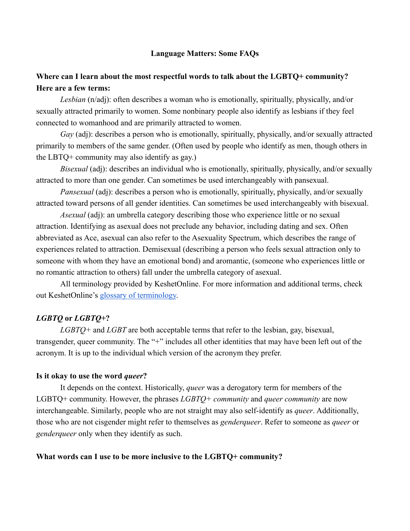### **Language Matters: Some FAQs**

# **Where can I learn about the most respectful words to talk about the LGBTQ+ community? Here are a few terms:**

*Lesbian* (n/adj): often describes a woman who is emotionally, spiritually, physically, and/or sexually attracted primarily to women. Some nonbinary people also identify as lesbians if they feel connected to womanhood and are primarily attracted to women.

*Gay* (adj): describes a person who is emotionally, spiritually, physically, and/or sexually attracted primarily to members of the same gender. (Often used by people who identify as men, though others in the LBTQ+ community may also identify as gay.)

*Bisexual* (adj): describes an individual who is emotionally, spiritually, physically, and/or sexually attracted to more than one gender. Can sometimes be used interchangeably with pansexual.

*Pansexual* (adj): describes a person who is emotionally, spiritually, physically, and/or sexually attracted toward persons of all gender identities. Can sometimes be used interchangeably with bisexual.

*Asexual* (adj): an umbrella category describing those who experience little or no sexual attraction. Identifying as asexual does not preclude any behavior, including dating and sex. Often abbreviated as Ace, asexual can also refer to the Asexuality Spectrum, which describes the range of experiences related to attraction. Demisexual (describing a person who feels sexual attraction only to someone with whom they have an emotional bond) and aromantic, (someone who experiences little or no romantic attraction to others) fall under the umbrella category of asexual.

All terminology provided by KeshetOnline. For more information and additional terms, check out KeshetOnline's [glossary of terminology.](https://www.keshetonline.org/resources/lgbtq-terminology/)

## *LGBTQ* **or** *LGBTQ+***?**

*LGBTQ+* and *LGBT* are both acceptable terms that refer to the lesbian, gay, bisexual, transgender, queer community. The "+" includes all other identities that may have been left out of the acronym. It is up to the individual which version of the acronym they prefer.

#### **Is it okay to use the word** *queer***?**

It depends on the context. Historically, *queer* was a derogatory term for members of the LGBTQ+ community. However, the phrases *LGBTQ+ community* and *queer community* are now interchangeable. Similarly, people who are not straight may also self-identify as *queer*. Additionally, those who are not cisgender might refer to themselves as *genderqueer*. Refer to someone as *queer* or *genderqueer* only when they identify as such.

#### **What words can I use to be more inclusive to the LGBTQ+ community?**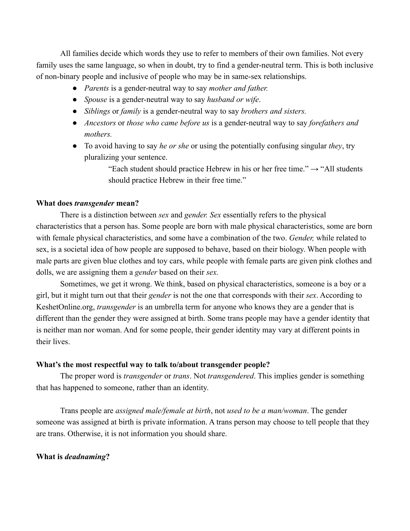All families decide which words they use to refer to members of their own families. Not every family uses the same language, so when in doubt, try to find a gender-neutral term. This is both inclusive of non-binary people and inclusive of people who may be in same-sex relationships.

- *Parents* is a gender-neutral way to say *mother and father.*
- *● Spouse* is a gender-neutral way to say *husband or wife*.
- *Siblings* or *family* is a gender-neutral way to say *brothers and sisters.*
- *Ancestors* or *those who came before us* is a gender-neutral way to say *forefathers and mothers.*
- To avoid having to say *he or she* or using the potentially confusing singular *they*, try pluralizing your sentence.

"Each student should practice Hebrew in his or her free time."  $\rightarrow$  "All students" should practice Hebrew in their free time."

#### **What does** *transgender* **mean?**

There is a distinction between *sex* and *gender. Sex* essentially refers to the physical characteristics that a person has. Some people are born with male physical characteristics, some are born with female physical characteristics, and some have a combination of the two. *Gender,* while related to sex, is a societal idea of how people are supposed to behave, based on their biology. When people with male parts are given blue clothes and toy cars, while people with female parts are given pink clothes and dolls, we are assigning them a *gender* based on their *sex.* 

Sometimes, we get it wrong. We think, based on physical characteristics, someone is a boy or a girl, but it might turn out that their *gender* is not the one that corresponds with their *sex*. According to KeshetOnline.org, *transgender* is an umbrella term for anyone who knows they are a gender that is different than the gender they were assigned at birth. Some trans people may have a gender identity that is neither man nor woman. And for some people, their gender identity may vary at different points in their lives.

#### **What's the most respectful way to talk to/about transgender people?**

The proper word is *transgender* or *trans*. Not *transgendered*. This implies gender is something that has happened to someone, rather than an identity.

Trans people are *assigned male/female at birth*, not *used to be a man/woman*. The gender someone was assigned at birth is private information. A trans person may choose to tell people that they are trans. Otherwise, it is not information you should share.

### **What is** *deadnaming***?**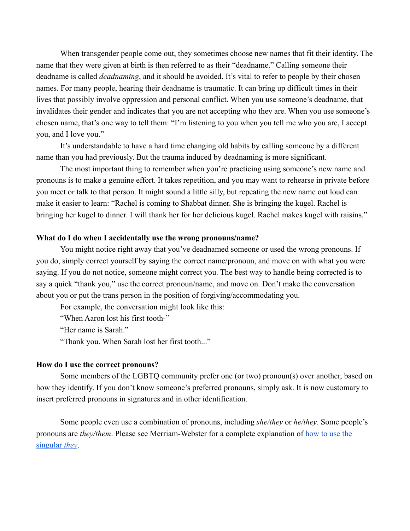When transgender people come out, they sometimes choose new names that fit their identity. The name that they were given at birth is then referred to as their "deadname." Calling someone their deadname is called *deadnaming*, and it should be avoided. It's vital to refer to people by their chosen names. For many people, hearing their deadname is traumatic. It can bring up difficult times in their lives that possibly involve oppression and personal conflict. When you use someone's deadname, that invalidates their gender and indicates that you are not accepting who they are. When you use someone's chosen name, that's one way to tell them: "I'm listening to you when you tell me who you are, I accept you, and I love you."

It's understandable to have a hard time changing old habits by calling someone by a different name than you had previously. But the trauma induced by deadnaming is more significant.

The most important thing to remember when you're practicing using someone's new name and pronouns is to make a genuine effort. It takes repetition, and you may want to rehearse in private before you meet or talk to that person. It might sound a little silly, but repeating the new name out loud can make it easier to learn: "Rachel is coming to Shabbat dinner. She is bringing the kugel. Rachel is bringing her kugel to dinner. I will thank her for her delicious kugel. Rachel makes kugel with raisins."

#### **What do I do when I accidentally use the wrong pronouns/name?**

You might notice right away that you've deadnamed someone or used the wrong pronouns. If you do, simply correct yourself by saying the correct name/pronoun, and move on with what you were saying. If you do not notice, someone might correct you. The best way to handle being corrected is to say a quick "thank you," use the correct pronoun/name, and move on. Don't make the conversation about you or put the trans person in the position of forgiving/accommodating you.

For example, the conversation might look like this:

"When Aaron lost his first tooth-"

"Her name is Sarah."

"Thank you. When Sarah lost her first tooth..."

#### **How do I use the correct pronouns?**

Some members of the LGBTQ community prefer one (or two) pronoun(s) over another, based on how they identify. If you don't know someone's preferred pronouns, simply ask. It is now customary to insert preferred pronouns in signatures and in other identification.

Some people even use a combination of pronouns, including *she/they* or *he/they*. Some people's pronouns are *they/them*. Please see Merriam-Webster for a complete explanation of [how to use the](https://www.merriam-webster.com/words-at-play/singular-nonbinary-they)  [singular](https://www.merriam-webster.com/words-at-play/singular-nonbinary-they) *[they](https://www.merriam-webster.com/words-at-play/singular-nonbinary-they)*.